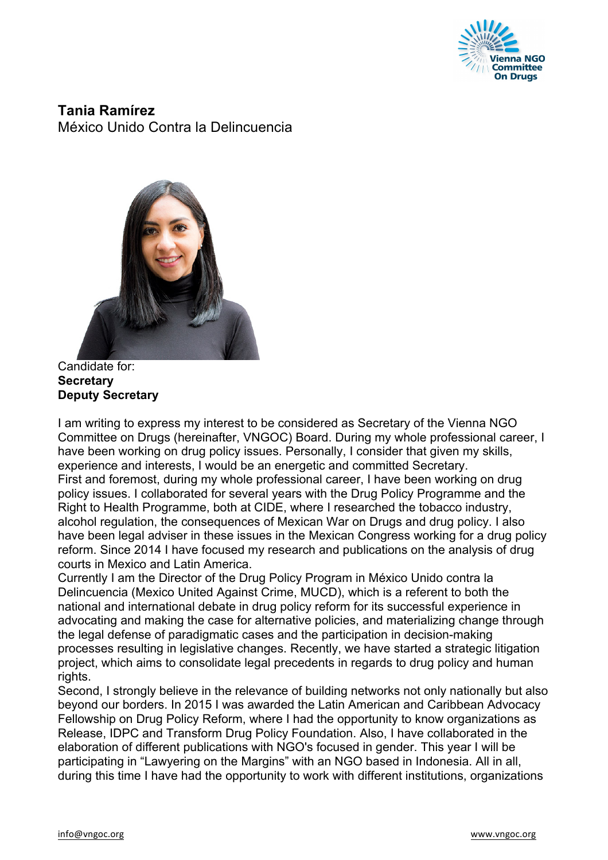

**Tania Ramírez** México Unido Contra la Delincuencia



Candidate for: **Secretary Deputy Secretary**

I am writing to express my interest to be considered as Secretary of the Vienna NGO Committee on Drugs (hereinafter, VNGOC) Board. During my whole professional career, I have been working on drug policy issues. Personally, I consider that given my skills, experience and interests, I would be an energetic and committed Secretary. First and foremost, during my whole professional career, I have been working on drug policy issues. I collaborated for several years with the Drug Policy Programme and the Right to Health Programme, both at CIDE, where I researched the tobacco industry, alcohol regulation, the consequences of Mexican War on Drugs and drug policy. I also have been legal adviser in these issues in the Mexican Congress working for a drug policy reform. Since 2014 I have focused my research and publications on the analysis of drug courts in Mexico and Latin America.

Currently I am the Director of the Drug Policy Program in México Unido contra la Delincuencia (Mexico United Against Crime, MUCD), which is a referent to both the national and international debate in drug policy reform for its successful experience in advocating and making the case for alternative policies, and materializing change through the legal defense of paradigmatic cases and the participation in decision-making processes resulting in legislative changes. Recently, we have started a strategic litigation project, which aims to consolidate legal precedents in regards to drug policy and human rights.

Second, I strongly believe in the relevance of building networks not only nationally but also beyond our borders. In 2015 I was awarded the Latin American and Caribbean Advocacy Fellowship on Drug Policy Reform, where I had the opportunity to know organizations as Release, IDPC and Transform Drug Policy Foundation. Also, I have collaborated in the elaboration of different publications with NGO's focused in gender. This year I will be participating in "Lawyering on the Margins" with an NGO based in Indonesia. All in all, during this time I have had the opportunity to work with different institutions, organizations